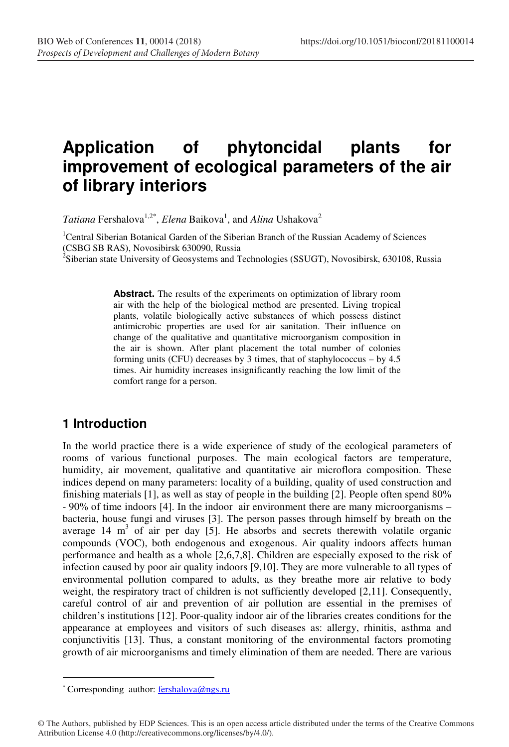# **Application of phytoncidal plants for improvement of ecological parameters of the air of library interiors**

*Tatiana* Fershalova<sup>1,2\*</sup>, *Elena* Baikova<sup>1</sup>, and *Alina* Ushakova<sup>2</sup>

<sup>1</sup>Central Siberian Botanical Garden of the Siberian Branch of the Russian Academy of Sciences (CSBG SB RAS), Novosibirsk 630090, Russia

<sup>2</sup>Siberian state University of Geosystems and Technologies (SSUGT), Novosibirsk, 630108, Russia

Abstract. The results of the experiments on optimization of library room air with the help of the biological method are presented. Living tropical plants, volatile biologically active substances of which possess distinct antimicrobic properties are used for air sanitation. Their influence on change of the qualitative and quantitative microorganism composition in the air is shown. After plant placement the total number of colonies forming units (CFU) decreases by 3 times, that of staphylococcus – by 4.5 times. Air humidity increases insignificantly reaching the low limit of the comfort range for a person.

## **1 Introduction**

In the world practice there is a wide experience of study of the ecological parameters of rooms of various functional purposes. The main ecological factors are temperature, humidity, air movement, qualitative and quantitative air microflora composition. These indices depend on many parameters: locality of a building, quality of used construction and finishing materials [1], аs well as stay of people in the building [2]. People often spend 80% - 90% of time indoors [4]. In the indoor air environment there are many microorganisms – bacteria, house fungi and viruses [3]. The person passes through himself by breath on the average  $14 \text{ m}^3$  of air per day [5]. He absorbs and secrets therewith volatile organic compounds (VOC), both endogenous and exogenous. Air quality indoors affects human performance and health as a whole [2,6,7,8]. Children are especially exposed to the risk of infection caused by poor air quality indoors [9,10]. They are more vulnerable to all types of environmental pollution compared to adults, as they breathe more air relative to body weight, the respiratory tract of children is not sufficiently developed [2,11]. Consequently, careful control of air and prevention of air pollution are essential in the premises of children's institutions [12]. Poor-quality indoor air of the libraries creates conditions for the appearance at employees and visitors of such diseases as: allergy, rhinitis, asthma and conjunctivitis [13]. Thus, a constant monitoring of the environmental factors promoting growth of air microorganisms and timely elimination of them are needed. There are various

 $\overline{a}$ 

<sup>\*</sup> Corresponding author: fershalova@ngs.ru

<sup>©</sup> The Authors, published by EDP Sciences. This is an open access article distributed under the terms of the Creative Commons Attribution License 4.0 (http://creativecommons.org/licenses/by/4.0/).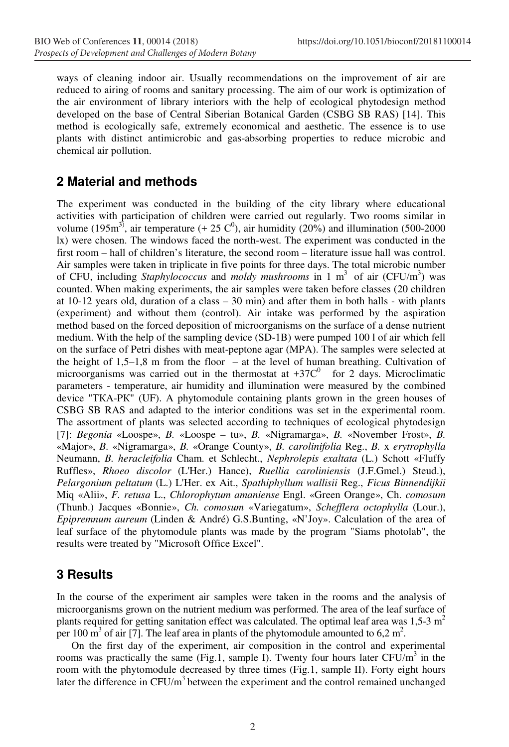ways of cleaning indoor air. Usually recommendations on the improvement of air are reduced to airing of rooms and sanitary processing. The aim of our work is optimization of the air environment of library interiors with the help of ecological phytodesign method developed on the base of Central Siberian Botanical Garden (CSBG SB RAS) [14]. This method is ecologically safe, extremely economical and aesthetic. The essence is to use plants with distinct antimicrobic and gas-absorbing properties to reduce microbic and chemical air pollution.

#### **2 Material and methods**

The experiment was conducted in the building of the city library where educational activities with participation of children were carried out regularly. Two rooms similar in volume (195m<sup>3)</sup>, air temperature (+ 25  $C^0$ ), air humidity (20%) and illumination (500-2000 lx) were chosen. The windows faced the north-west. The experiment was conducted in the first room – hall of children's literature, the second room – literature issue hall was control. Air samples were taken in triplicate in five points for three days. The total microbic number of CFU, including *Staphylococcus* and *moldy mushrooms* in 1 m<sup>3</sup> of air (CFU/m<sup>3</sup>) was counted. When making experiments, the air samples were taken before classes (20 children at  $10-12$  years old, duration of a class  $-30$  min) and after them in both halls - with plants (experiment) and without them (control). Air intake was performed by the aspiration method based on the forced deposition of microorganisms on the surface of a dense nutrient medium. With the help of the sampling device (SD-1B) were pumped 100 l of air which fell on the surface of Petri dishes with meat-peptone agar (MPA). The samples were selected at the height of 1,5–1,8 m from the floor – at the level of human breathing. Cultivation of microorganisms was carried out in the thermostat at  $+37C^0$  for 2 days. Microclimatic parameters - temperature, air humidity and illumination were measured by the combined device "ТКА-PК" (UF). A phytomodule containing plants grown in the green houses of CSBG SB RAS and adapted to the interior conditions was set in the experimental room. The assortment of plants was selected according to techniques of ecological phytodesign [7]: *Begonia* «Loospe», *B.* «Loospe – tu», *B.* «Nigramarga», *B.* «November Frost», *B.*  «Major», *B*. «Nigramarga», *B.* «Orange County», *B. carolinifolia* Reg., *B.* x *erytrophylla* Neumann, *B. heracleifolia* Cham. et Schlecht., *Nephrolepis exaltata* (L.) Schott «Fluffy Ruffles», *Rhoeo discolor* (L'Her.) Hance), *Ruellia caroliniensis* (J.F.Gmel.) Steud.), *Pelargonium peltatum* (L.) L'Her. ex Ait., *Spathiphyllum wallisii* Reg., *Ficus Binnendijkii* Miq «Alii», *F. retusa* L., *Chlorophytum amaniense* Engl. «Green Orange», Ch. *comosum*  (Thunb.) Jacques «Bonnie», *Ch. comosum* «Variegatum», *Schefflera octophylla* (Lour.), *Epipremnum aureum* (Linden & André) G.S.Bunting, «N'Joy». Calculation of the area of leaf surface of the phytomodule plants was made by the program "Siams photolab", the results were treated by "Microsoft Office Excel".

### **3 Results**

In the course of the eхperiment air samples were taken in the rooms and the analysis of microorganisms grown on the nutrient medium was performed. The area of the leaf surface of plants required for getting sanitation effect was calculated. The optimal leaf area was  $1,5-3$  m<sup>2</sup> per 100  $\text{m}^3$  of air [7]. The leaf area in plants of the phytomodule amounted to 6,2  $\text{m}^2$ .

On the first day of the experiment, air composition in the control and experimental rooms was practically the same (Fig.1, sample I). Twenty four hours later  $CFU/m<sup>3</sup>$  in the room with the phytomodule decreased by three times (Fig.1, sample II). Forty eight hours later the difference in  $CFU/m<sup>3</sup>$  between the experiment and the control remained unchanged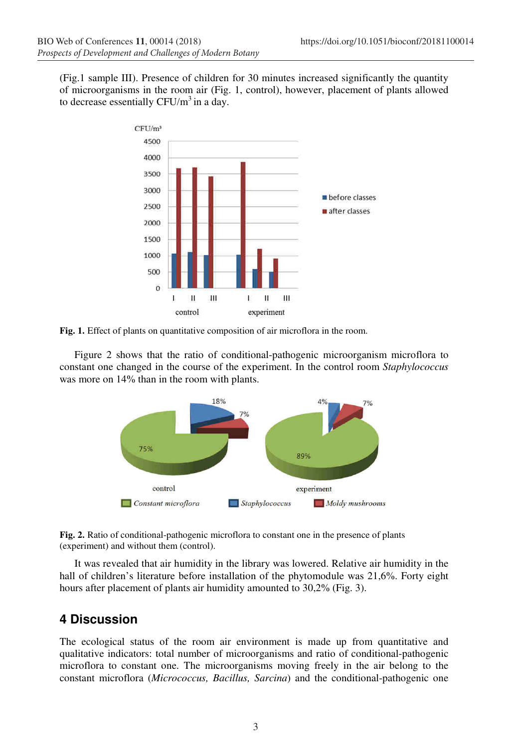(Fig.1 sample III). Presence of children for 30 minutes increased significantly the quantity of microorganisms in the room air (Fig. 1, control), however, placement of plants allowed to decrease essentially  $CFU/m^3$  in a day.



**Fig. 1.** Effect of plants on quantitative composition of air microflora in the room.

Figure 2 shows that the ratio of conditional-pathogenic microorganism microflora to constant one changed in the course of the experiment. In the control room *Staphylococcus*  was more on 14% than in the room with plants.





It was revealed that air humidity in the library was lowered. Relative air humidity in the hall of children's literature before installation of the phytomodule was 21,6%. Forty eight hours after placement of plants air humidity amounted to 30,2% (Fig. 3).

### **4 Discussion**

The ecological status of the room air environment is made up from quantitative and qualitative indicators: total number of microorganisms and ratio of conditional-pathogenic microflora to constant one. The microorganisms moving freely in the air belong to the constant microflora (*Micrococcus, Bacillus, Sarcina*) and the conditional-pathogenic one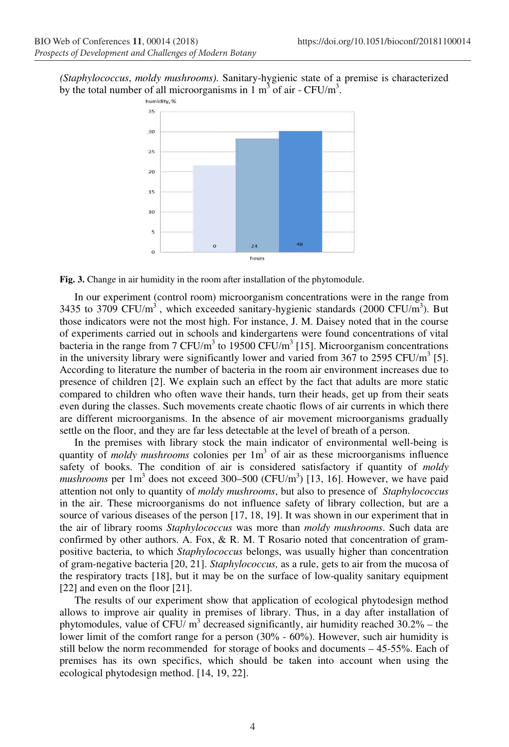*(Staphylococcus*, *moldy mushrooms).* Sanitary-hygienic state of a premise is characterized by the total number of all microorganisms in 1  $m<sup>3</sup>$  of air - CFU/ $m<sup>3</sup>$ .



**Fig. 3.** Change in air humidity in the room after installation of the phytomodule.

In our experiment (control room) microorganism concentrations were in the range from 3435 to 3709 CFU/m<sup>3</sup>, which exceeded sanitary-hygienic standards (2000 CFU/m<sup>3</sup>). But those indicators were not the most high. For instance, J. M. Daisey noted that in the course of experiments carried out in schools and kindergartens were found concentrations of vital bacteria in the range from 7 CFU/m<sup>3</sup> to 19500 CFU/m<sup>3</sup> [15]. Microorganism concentrations in the university library were significantly lower and varied from 367 to 2595 CFU/ $m<sup>3</sup>$  [5]. According to literature the number of bacteria in the room air environment increases due to presence of children [2]. We explain such an effect by the fact that adults are more static compared to children who often wave their hands, turn their heads, get up from their seats even during the classes. Such movements create chaotic flows of air currents in which there are different microorganisms. In the absence of air movement microorganisms gradually settle on the floor, and they are far less detectable at the level of breath of a person.

In the premises with library stock the main indicator of environmental well-being is quantity of *moldy mushrooms* colonies per 1m<sup>3</sup> of air as these microorganisms influence safety of books. The condition of air is considered satisfactory if quantity of *moldy mushrooms* per  $1 \text{ m}^3$  does not exceed 300–500 (CFU/m<sup>3</sup>) [13, 16]. However, we have paid attention not only to quantity of *moldy mushrooms*, but also to presence of *Staphylococcus*  in the air*.* These microorganisms do not influence safety of library collection, but are a source of various diseases of the person [17, 18, 19]. It was shown in our experiment that in the air of library rooms *Staphylococcus* was more than *moldy mushrooms*. Such data are confirmed by other authors. A. Fox, & R. M. T Rosario noted that concentration of grampositive bacteria, to which *Staphylococcus* belongs, was usually higher than concentration of gram-negative bacteria [20, 21]. *Staphylococcus,* as a rule, gets to air from the mucosa of the respiratory tracts [18], but it may be on the surface of low-quality sanitary equipment [22] and even on the floor [21].

The results of our experiment show that application of ecological phytodesign method allows to improve air quality in premises of library. Thus, in a day after installation of phytomodules, value of CFU/ $m<sup>3</sup>$  decreased significantly, air humidity reached 30.2% – the lower limit of the comfort range for a person (30% - 60%). However, such air humidity is still below the norm recommended for storage of books and documents – 45-55%. Each of premises has its own specifics, which should be taken into account when using the ecological phytodesign method. [14, 19, 22].